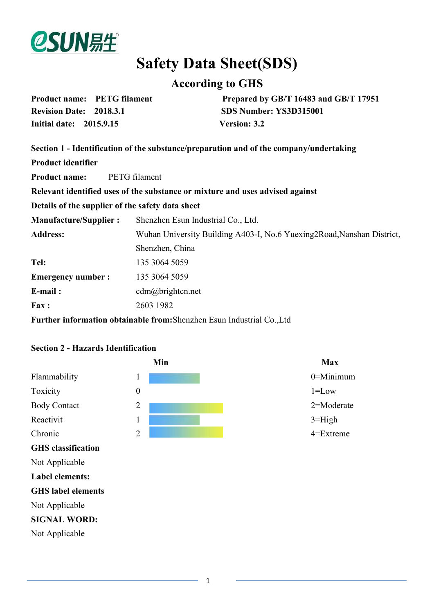

# **Safety Data Sheet(SDS)**

## **According to GHS**

| <b>Product name:</b> PETG filament | Prepared by GB/T 16483 and GB/T 17951 |
|------------------------------------|---------------------------------------|
| <b>Revision Date: 2018.3.1</b>     | SDS Number: YS3D315001                |
| Initial date: 2015.9.15            | <b>Version: 3.2</b>                   |

|                              | Section 1 - Identification of the substance/preparation and of the company/undertaking |
|------------------------------|----------------------------------------------------------------------------------------|
| <b>Product identifier</b>    |                                                                                        |
| <b>Product name:</b>         | PETG filament                                                                          |
|                              | Relevant identified uses of the substance or mixture and uses advised against          |
|                              | Details of the supplier of the safety data sheet                                       |
| <b>Manufacture/Supplier:</b> | Shenzhen Esun Industrial Co., Ltd.                                                     |
| <b>Address:</b>              | Wuhan University Building A403-I, No.6 Yuexing 2 Road, Nanshan District,               |
|                              | Shenzhen, China                                                                        |
| Tel:                         | 135 3064 5059                                                                          |
| <b>Emergency number:</b>     | 135 3064 5059                                                                          |
| $E$ -mail:                   | $cdm(a)$ brightcn.net                                                                  |
| Fax:                         | 2603 1982                                                                              |
|                              | Further information obtainable from: Shenzhen Esun Industrial Co., Ltd                 |

#### **Section 2 - Hazards Identification**

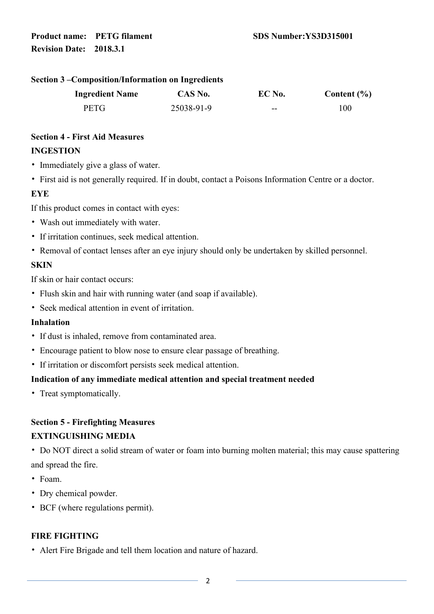#### **Section 3 –Composition/Information on Ingredients**

| <b>Ingredient Name</b> | CAS No.    | EC No. | Content $(\% )$ |  |
|------------------------|------------|--------|-----------------|--|
| PETG                   | 25038-91-9 | $- -$  | 100             |  |

#### **Section 4 - First Aid Measures**

#### **INGESTION**

- Immediately give a glass of water.
- First aid is not generally required. If in doubt, contact a Poisons Information Centre or a doctor.

#### **EYE**

If this product comes in contact with eyes:

- Wash out immediately with water.
- If irritation continues, seek medical attention.
- Removal of contact lenses after an eye injury should only be undertaken by skilled personnel.

#### **SKIN**

If skin or hair contact occurs:

- Flush skin and hair with running water (and soap if available).
- Seek medical attention in event of irritation.

#### **Inhalation**

- If dust is inhaled, remove from contaminated area.
- Encourage patient to blow nose to ensure clear passage of breathing.
- If irritation or discomfort persists seek medical attention.

#### **Indication of any immediate medical attention and special treatment needed**

• Treat symptomatically.

### **Section 5 - Firefighting Measures EXTINGUISHING MEDIA**

• Do NOT direct a solid stream of water or foam into burning molten material; this may cause spattering and spread the fire.

- Foam.
- Dry chemical powder.
- BCF (where regulations permit).

#### **FIRE FIGHTING**

• Alert Fire Brigade and tell them location and nature of hazard.

2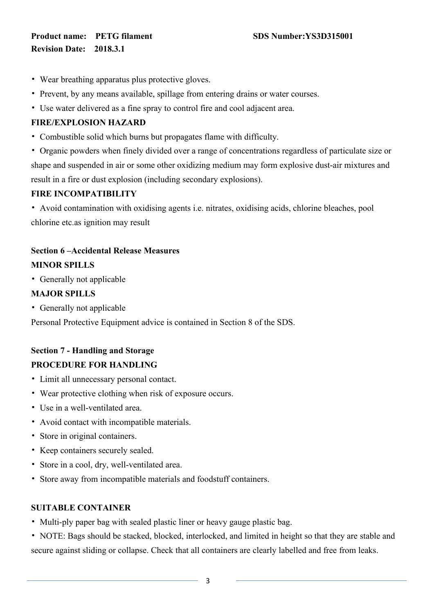- Wear breathing apparatus plus protective gloves.
- Prevent, by any means available, spillage from entering drains or water courses.
- Use water delivered as a fine spray to control fire and cool adjacent area.

#### **FIRE/EXPLOSION HAZARD**

- Combustible solid which burns but propagates flame with difficulty.
- Organic powders when finely divided over a range of concentrations regardless of particulate size or shape and suspended in air or some other oxidizing medium may form explosive dust-air mixtures and result in a fire or dust explosion (including secondary explosions).

#### **FIRE INCOMPATIBILITY**

• Avoid contamination with oxidising agents i.e. nitrates, oxidising acids, chlorine bleaches, pool chlorine etc.as ignition may result

## **Section 6 –Accidental Release Measures MINOR SPILLS**

• Generally not applicable

#### **MAJOR SPILLS**

• Generally not applicable

Personal Protective Equipment advice is contained in Section 8 of the SDS.

## **Section 7 - Handling and Storage PROCEDURE FOR HANDLING**

- Limit all unnecessary personal contact.
- Wear protective clothing when risk of exposure occurs.
- Use in a well-ventilated area.
- Avoid contact with incompatible materials.
- Store in original containers.
- Keep containers securely sealed.
- Store in a cool, dry, well-ventilated area.
- Store away from incompatible materials and foodstuff containers.

#### **SUITABLE CONTAINER**

• Multi-ply paper bag with sealed plastic liner or heavy gauge plastic bag.

• NOTE: Bags should be stacked, blocked, interlocked, and limited in height so that they are stable and secure against sliding or collapse. Check that all containers are clearly labelled and free from leaks.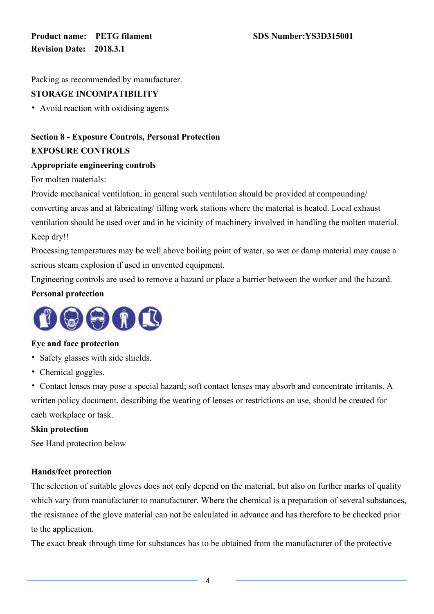Packing as recommended by manufacturer.

#### **STORAGE INCOMPATIBILITY**

• Avoid reaction with oxidising agents

## **Section 8 - Exposure Controls, Personal Protection EXPOSURE CONTROLS**

#### **Appropriate engineering controls**

For molten materials:

Provide mechanical ventilation; in general such ventilation should be provided at compounding/ converting areas and at fabricating/ filling work stations where the material is heated. Local exhaust ventilation should be used over and in he vicinity of machinery involved in handling the molten material. Keep dry!!

Processing temperatures may be well above boiling point of water, so wet or damp material may cause a serious steam explosion if used in unvented equipment.

Engineering controls are used to remove a hazard or place a barrier between the worker and the hazard.

#### **Personal protection**



#### **Eye and face protection**

- Safety glasses with side shields.
- Chemical goggles.

• Contact lenses may pose a special hazard; soft contact lenses may absorb and concentrate irritants. A written policy document, describing the wearing of lenses or restrictions on use, should be created for each workplace or task.

#### **Skin protection**

See Hand protection below

#### **Hands/feet protection**

The selection of suitable gloves does not only depend on the material, but also on further marks of quality which vary from manufacturer to manufacturer. Where the chemical is a preparation of several substances, the resistance of the glove material can not be calculated in advance and has therefore to be checked prior to the application.

The exact break through time for substances has to be obtained from the manufacturer of the protective

4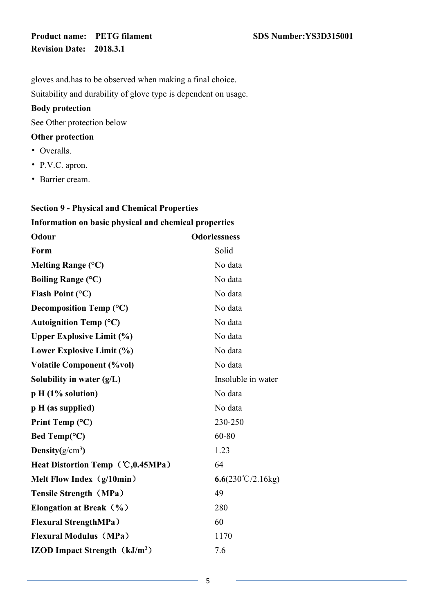gloves and.has to be observed when making a final choice.

Suitability and durability of glove type is dependent on usage.

#### **Body protection**

See Other protection below

## **Other protection**

- Overalls.
- P.V.C. apron.
- Barrier cream.

| <b>Section 9 - Physical and Chemical Properties</b>   |                                          |  |
|-------------------------------------------------------|------------------------------------------|--|
| Information on basic physical and chemical properties |                                          |  |
| Odour                                                 | <b>Odorlessness</b>                      |  |
| Form                                                  | Solid                                    |  |
| Melting Range (°C)                                    | No data                                  |  |
| <b>Boiling Range (°C)</b>                             | No data                                  |  |
| Flash Point $(^{\circ}C)$                             | No data                                  |  |
| Decomposition Temp $(^{\circ}C)$                      | No data                                  |  |
| Autoignition Temp $(^{\circ}C)$                       | No data                                  |  |
| <b>Upper Explosive Limit (%)</b>                      | No data                                  |  |
| Lower Explosive Limit (%)                             | No data                                  |  |
| <b>Volatile Component (%vol)</b>                      | No data                                  |  |
| Solubility in water $(g/L)$                           | Insoluble in water                       |  |
| p H (1% solution)                                     | No data                                  |  |
| p H (as supplied)                                     | No data                                  |  |
| Print Temp $(^{\circ}C)$                              | 230-250                                  |  |
| Bed Temp( ${}^{\circ}$ C)                             | 60-80                                    |  |
| Density $(g/cm^3)$                                    | 1.23                                     |  |
| Heat Distortion Temp (°C,0.45MPa)                     | 64                                       |  |
| Melt Flow Index (g/10min)                             | $6.6(230^{\circ}\text{C}/2.16\text{kg})$ |  |
| <b>Tensile Strength (MPa)</b>                         | 49                                       |  |
| Elongation at Break $(\% )$                           | 280                                      |  |
| <b>Flexural StrengthMPa</b>                           | 60                                       |  |
| <b>Flexural Modulus (MPa)</b>                         | 1170                                     |  |
| IZOD Impact Strength (kJ/m <sup>2</sup> )             | 7.6                                      |  |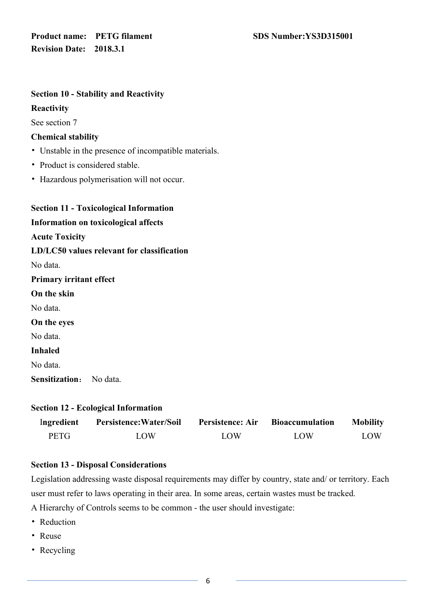## **Section 10 - Stability and Reactivity**

#### **Reactivity**

See section 7

#### **Chemical stability**

- Unstable in the presence of incompatible materials.
- Product is considered stable.
- Hazardous polymerisation will not occur.

|                                | <b>Section 11 - Toxicological Information</b> |
|--------------------------------|-----------------------------------------------|
|                                | Information on toxicological affects          |
| <b>Acute Toxicity</b>          |                                               |
|                                | LD/LC50 values relevant for classification    |
| No data.                       |                                               |
| <b>Primary irritant effect</b> |                                               |
| On the skin                    |                                               |
| No data.                       |                                               |
| On the eyes                    |                                               |
| No data.                       |                                               |
| <b>Inhaled</b>                 |                                               |
| No data.                       |                                               |
| <b>Sensitization:</b> No data. |                                               |

| <b>Section 12 - Ecological Information</b> |  |
|--------------------------------------------|--|
|--------------------------------------------|--|

| Ingredient | <b>Persistence: Water/Soil</b> | <b>Persistence: Air</b> | <b>Bioaccumulation</b> | <b>Mobility</b>         |  |
|------------|--------------------------------|-------------------------|------------------------|-------------------------|--|
| PETG       | $\overline{\text{OW}}$         | $\overline{\text{OW}}$  | LOW                    | $\overline{\text{10W}}$ |  |

#### **Section 13 - Disposal Considerations**

Legislation addressing waste disposal requirements may differ by country, state and/ or territory. Each user must refer to laws operating in their area. In some areas, certain wastes must be tracked.

A Hierarchy of Controls seems to be common - the user should investigate:

- Reduction
- Reuse
- Recycling